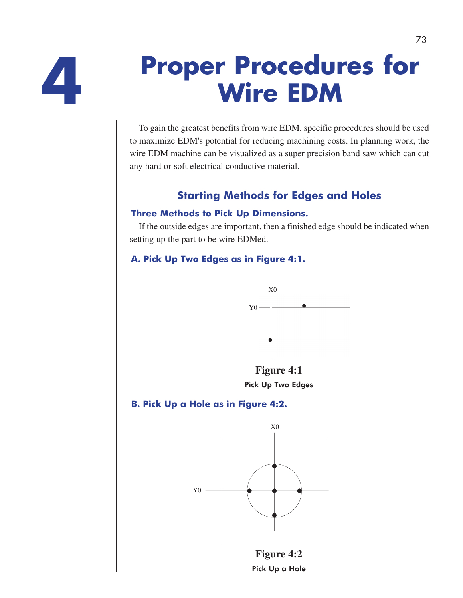

# **Proper Procedures for 4 Wire EDM**

To gain the greatest benefits from wire EDM, specific procedures should be used to maximize EDM's potential for reducing machining costs. In planning work, the wire EDM machine can be visualized as a super precision band saw which can cut any hard or soft electrical conductive material.

# **Starting Methods for Edges and Holes**

#### **Three Methods to Pick Up Dimensions.**

If the outside edges are important, then a finished edge should be indicated when setting up the part to be wire EDMed.

#### **A. Pick Up Two Edges as in Figure 4:1.**



**Figure 4:1**  Pick Up Two Edges

### **B. Pick Up a Hole as in Figure 4:2.**



**Figure 4:2**  Pick Up a Hole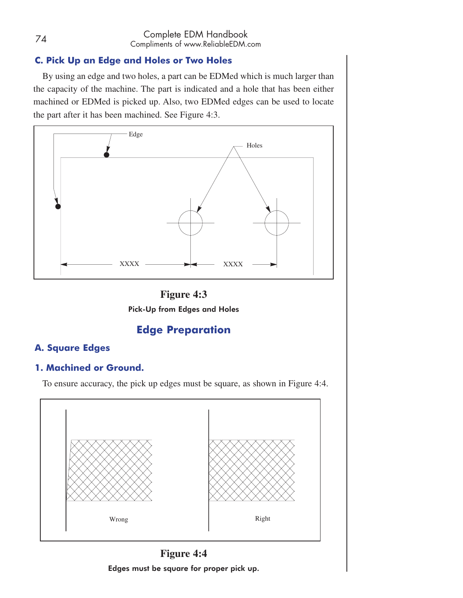#### <sup>74</sup> Complete EDM Handbook Compliments of www.ReliableEDM.com

#### **C. Pick Up an Edge and Holes or Two Holes**

By using an edge and two holes, a part can be EDMed which is much larger than the capacity of the machine. The part is indicated and a hole that has been either machined or EDMed is picked up. Also, two EDMed edges can be used to locate the part after it has been machined. See Figure 4:3.





# **Edge Preparation**

#### **A. Square Edges**

#### **1. Machined or Ground.**

To ensure accuracy, the pick up edges must be square, as shown in Figure 4:4.



**Figure 4:4**  Edges must be square for proper pick up.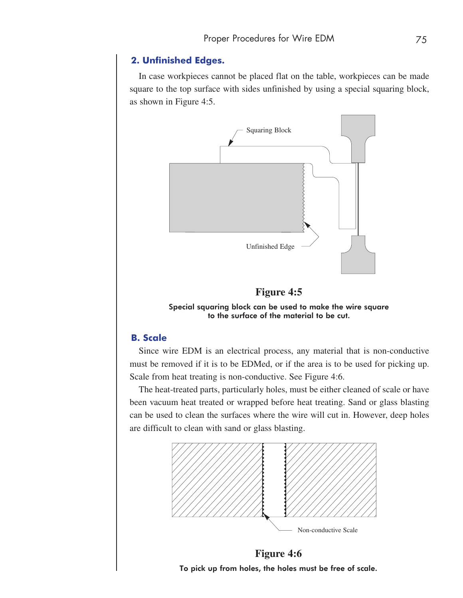#### **2. Unfinished Edges.**

In case workpieces cannot be placed flat on the table, workpieces can be made square to the top surface with sides unfinished by using a special squaring block, as shown in Figure 4:5.



**Figure 4:5** 

Special squaring block can be used to make the wire square to the surface of the material to be cut.

#### **B. Scale**

Since wire EDM is an electrical process, any material that is non-conductive must be removed if it is to be EDMed, or if the area is to be used for picking up. Scale from heat treating is non-conductive. See Figure 4:6.

The heat-treated parts, particularly holes, must be either cleaned of scale or have been vacuum heat treated or wrapped before heat treating. Sand or glass blasting can be used to clean the surfaces where the wire will cut in. However, deep holes are difficult to clean with sand or glass blasting.



**Figure 4:6**  To pick up from holes, the holes must be free of scale.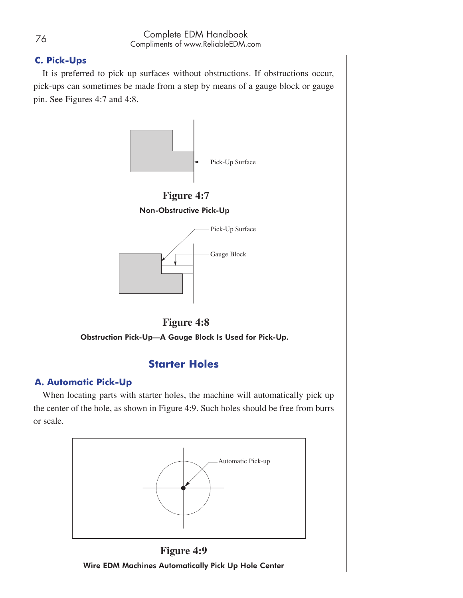#### **C. Pick-Ups**

It is preferred to pick up surfaces without obstructions. If obstructions occur, pick-ups can sometimes be made from a step by means of a gauge block or gauge pin. See Figures 4:7 and 4:8.





Obstruction Pick-Up—A Gauge Block Is Used for Pick-Up.

# **Starter Holes**

#### **A. Automatic Pick-Up**

When locating parts with starter holes, the machine will automatically pick up the center of the hole, as shown in Figure 4:9. Such holes should be free from burrs or scale.



**Figure 4:9**  Wire EDM Machines Automatically Pick Up Hole Center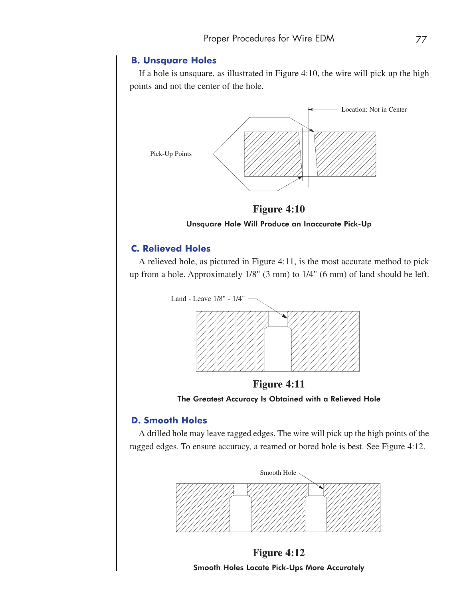#### **B. Unsquare Holes**

If a hole is unsquare, as illustrated in Figure 4:10, the wire will pick up the high points and not the center of the hole.



**Figure 4:10** 

Unsquare Hole Will Produce an Inaccurate Pick-Up

#### **C. Relieved Holes**

A relieved hole, as pictured in Figure 4:11, is the most accurate method to pick up from a hole. Approximately 1/8" (3 mm) to 1/4" (6 mm) of land should be left.



**Figure 4:11**  The Greatest Accuracy Is Obtained with a Relieved Hole

#### **D. Smooth Holes**

A drilled hole may leave ragged edges. The wire will pick up the high points of the ragged edges. To ensure accuracy, a reamed or bored hole is best. See Figure 4:12.

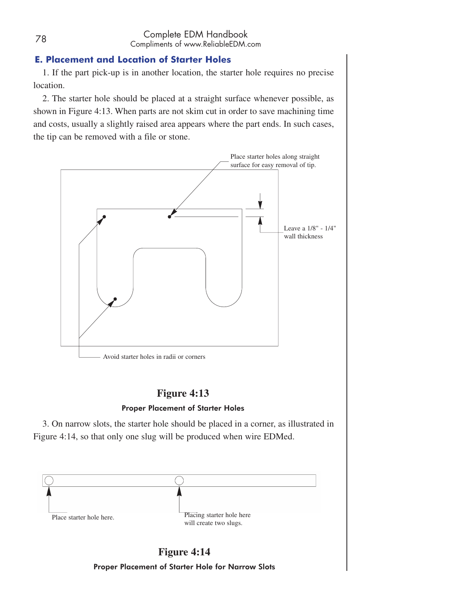#### **E. Placement and Location of Starter Holes**

1. If the part pick-up is in another location, the starter hole requires no precise location.

2. The starter hole should be placed at a straight surface whenever possible, as shown in Figure 4:13. When parts are not skim cut in order to save machining time and costs, usually a slightly raised area appears where the part ends. In such cases, the tip can be removed with a file or stone.



# **Figure 4:13**

#### Proper Placement of Starter Holes

3. On narrow slots, the starter hole should be placed in a corner, as illustrated in Figure 4:14, so that only one slug will be produced when wire EDMed.